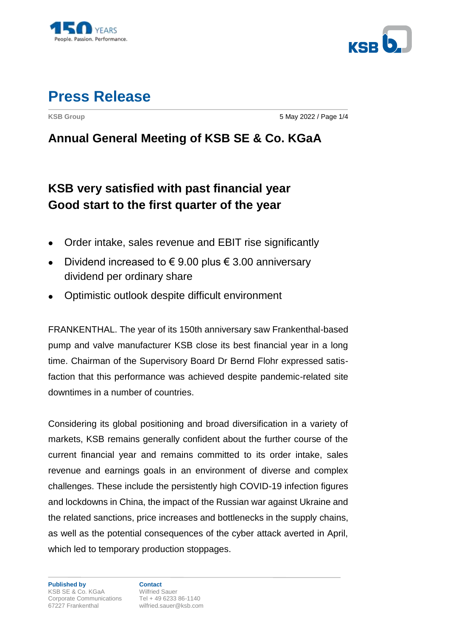



**KSB Group** 5 May 2022 / Page 1/4

### **Annual General Meeting of KSB SE & Co. KGaA**

## **KSB very satisfied with past financial year Good start to the first quarter of the year**

- Order intake, sales revenue and EBIT rise significantly
- Dividend increased to  $\epsilon$  9.00 plus  $\epsilon$  3.00 anniversary dividend per ordinary share
- Optimistic outlook despite difficult environment

FRANKENTHAL. The year of its 150th anniversary saw Frankenthal-based pump and valve manufacturer KSB close its best financial year in a long time. Chairman of the Supervisory Board Dr Bernd Flohr expressed satisfaction that this performance was achieved despite pandemic-related site downtimes in a number of countries.

Considering its global positioning and broad diversification in a variety of markets, KSB remains generally confident about the further course of the current financial year and remains committed to its order intake, sales revenue and earnings goals in an environment of diverse and complex challenges. These include the persistently high COVID-19 infection figures and lockdowns in China, the impact of the Russian war against Ukraine and the related sanctions, price increases and bottlenecks in the supply chains, as well as the potential consequences of the cyber attack averted in April, which led to temporary production stoppages.

wilfried.sauer@ksb.com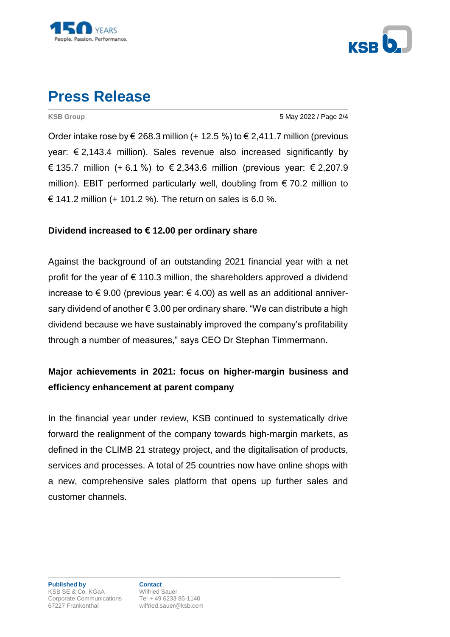



**KSB Group** 5 May 2022 / Page 2/4

Order intake rose by  $\xi$  268.3 million (+ 12.5 %) to  $\xi$  2.411.7 million (previous year:  $\epsilon$  2,143.4 million). Sales revenue also increased significantly by € 135.7 million (+ 6.1 %) to  $\in$  2,343.6 million (previous year:  $\in$  2,207.9 million). EBIT performed particularly well, doubling from  $\epsilon$  70.2 million to € 141.2 million (+ 101.2 %). The return on sales is 6.0 %.

#### **Dividend increased to € 12.00 per ordinary share**

Against the background of an outstanding 2021 financial year with a net profit for the year of  $\epsilon$  110.3 million, the shareholders approved a dividend increase to  $\epsilon$  9.00 (previous year:  $\epsilon$  4.00) as well as an additional anniversary dividend of another € 3.00 per ordinary share. "We can distribute a high dividend because we have sustainably improved the company's profitability through a number of measures," says CEO Dr Stephan Timmermann.

#### **Major achievements in 2021: focus on higher-margin business and efficiency enhancement at parent company**

In the financial year under review, KSB continued to systematically drive forward the realignment of the company towards high-margin markets, as defined in the CLIMB 21 strategy project, and the digitalisation of products, services and processes. A total of 25 countries now have online shops with a new, comprehensive sales platform that opens up further sales and customer channels.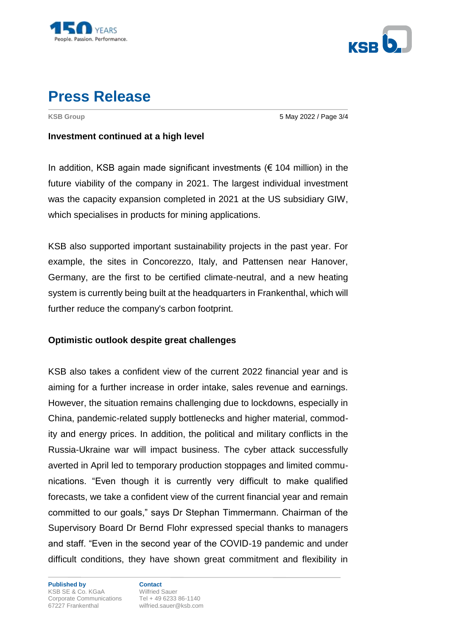



**KSB Group** 5 May 2022 / Page 3/4

#### **Investment continued at a high level**

In addition, KSB again made significant investments ( $\epsilon$  104 million) in the future viability of the company in 2021. The largest individual investment was the capacity expansion completed in 2021 at the US subsidiary GIW, which specialises in products for mining applications.

KSB also supported important sustainability projects in the past year. For example, the sites in Concorezzo, Italy, and Pattensen near Hanover, Germany, are the first to be certified climate-neutral, and a new heating system is currently being built at the headquarters in Frankenthal, which will further reduce the company's carbon footprint.

#### **Optimistic outlook despite great challenges**

KSB also takes a confident view of the current 2022 financial year and is aiming for a further increase in order intake, sales revenue and earnings. However, the situation remains challenging due to lockdowns, especially in China, pandemic-related supply bottlenecks and higher material, commodity and energy prices. In addition, the political and military conflicts in the Russia-Ukraine war will impact business. The cyber attack successfully averted in April led to temporary production stoppages and limited communications. "Even though it is currently very difficult to make qualified forecasts, we take a confident view of the current financial year and remain committed to our goals," says Dr Stephan Timmermann. Chairman of the Supervisory Board Dr Bernd Flohr expressed special thanks to managers and staff. "Even in the second year of the COVID-19 pandemic and under difficult conditions, they have shown great commitment and flexibility in

**Published by Contact** KSB SE & Co. KGaA Wilfried Sauer Corporate Communications<br>67227 Frankenthal milfried.sauer@ksb.com

wilfried.sauer@ksb.com